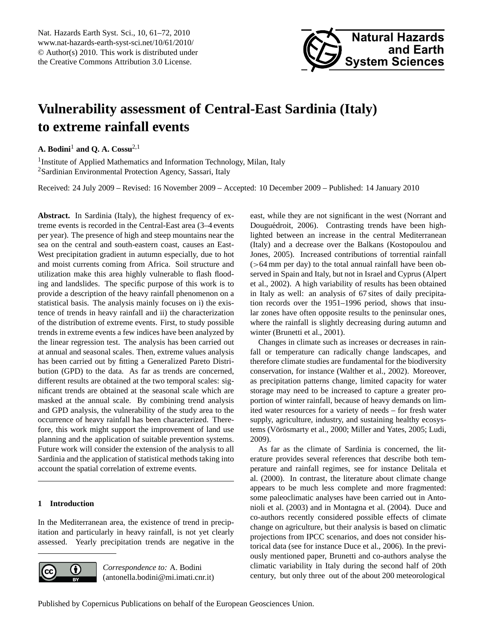# <span id="page-0-0"></span>**Vulnerability assessment of Central-East Sardinia (Italy) to extreme rainfall events**

**A. Bodini**<sup>1</sup> **and Q. A. Cossu**2,1

<sup>1</sup> Institute of Applied Mathematics and Information Technology, Milan, Italy <sup>2</sup>Sardinian Environmental Protection Agency, Sassari, Italy

Received: 24 July 2009 – Revised: 16 November 2009 – Accepted: 10 December 2009 – Published: 14 January 2010

**Abstract.** In Sardinia (Italy), the highest frequency of extreme events is recorded in the Central-East area (3–4 events per year). The presence of high and steep mountains near the sea on the central and south-eastern coast, causes an East-West precipitation gradient in autumn especially, due to hot and moist currents coming from Africa. Soil structure and utilization make this area highly vulnerable to flash flooding and landslides. The specific purpose of this work is to provide a description of the heavy rainfall phenomenon on a statistical basis. The analysis mainly focuses on i) the existence of trends in heavy rainfall and ii) the characterization of the distribution of extreme events. First, to study possible trends in extreme events a few indices have been analyzed by the linear regression test. The analysis has been carried out at annual and seasonal scales. Then, extreme values analysis has been carried out by fitting a Generalized Pareto Distribution (GPD) to the data. As far as trends are concerned, different results are obtained at the two temporal scales: significant trends are obtained at the seasonal scale which are masked at the annual scale. By combining trend analysis and GPD analysis, the vulnerability of the study area to the occurrence of heavy rainfall has been characterized. Therefore, this work might support the improvement of land use planning and the application of suitable prevention systems. Future work will consider the extension of the analysis to all Sardinia and the application of statistical methods taking into account the spatial correlation of extreme events.

# **1 Introduction**

In the Mediterranean area, the existence of trend in precipitation and particularly in heavy rainfall, is not yet clearly assessed. Yearly precipitation trends are negative in the



*Correspondence to:* A. Bodini (antonella.bodini@mi.imati.cnr.it) east, while they are not significant in the west (Norrant and Douguédroit, 2006). Contrasting trends have been highlighted between an increase in the central Mediterranean (Italy) and a decrease over the Balkans (Kostopoulou and Jones, 2005). Increased contributions of torrential rainfall  $($ >64 mm per day) to the total annual rainfall have been observed in Spain and Italy, but not in Israel and Cyprus (Alpert et al., 2002). A high variability of results has been obtained in Italy as well: an analysis of 67 sites of daily precipitation records over the 1951–1996 period, shows that insular zones have often opposite results to the peninsular ones, where the rainfall is slightly decreasing during autumn and winter (Brunetti et al., 2001).

Changes in climate such as increases or decreases in rainfall or temperature can radically change landscapes, and therefore climate studies are fundamental for the biodiversity conservation, for instance (Walther et al., 2002). Moreover, as precipitation patterns change, limited capacity for water storage may need to be increased to capture a greater proportion of winter rainfall, because of heavy demands on limited water resources for a variety of needs – for fresh water supply, agriculture, industry, and sustaining healthy ecosystems (Vörösmarty et al., 2000; Miller and Yates, 2005; Ludi, 2009).

As far as the climate of Sardinia is concerned, the literature provides several references that describe both temperature and rainfall regimes, see for instance Delitala et al. (2000). In contrast, the literature about climate change appears to be much less complete and more fragmented: some paleoclimatic analyses have been carried out in Antonioli et al. (2003) and in Montagna et al. (2004). Duce and co-authors recently considered possible effects of climate change on agriculture, but their analysis is based on climatic projections from IPCC scenarios, and does not consider historical data (see for instance Duce et al., 2006). In the previously mentioned paper, Brunetti and co-authors analyse the climatic variability in Italy during the second half of 20th century, but only three out of the about 200 meteorological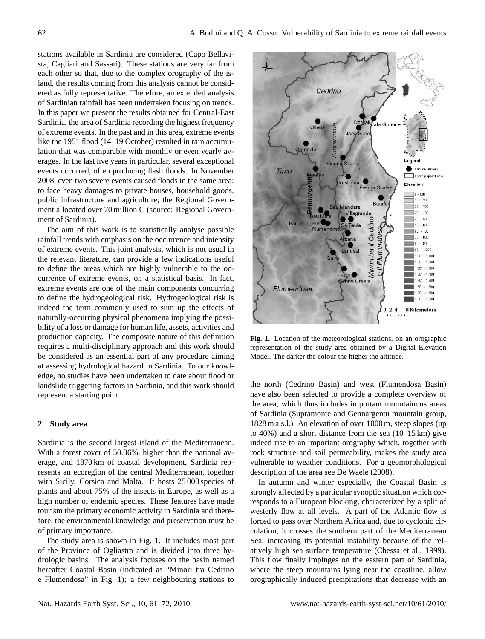stations available in Sardinia are considered (Capo Bellavista, Cagliari and Sassari). These stations are very far from each other so that, due to the complex orography of the island, the results coming from this analysis cannot be considered as fully representative. Therefore, an extended analysis of Sardinian rainfall has been undertaken focusing on trends. In this paper we present the results obtained for Central-East Sardinia, the area of Sardinia recording the highest frequency of extreme events. In the past and in this area, extreme events like the 1951 flood (14–19 October) resulted in rain accumulation that was comparable with monthly or even yearly averages. In the last five years in particular, several exceptional events occurred, often producing flash floods. In November 2008, even two severe events caused floods in the same area: to face heavy damages to private houses, household goods, public infrastructure and agriculture, the Regional Government allocated over 70 million  $\epsilon$  (source: Regional Government of Sardinia).

The aim of this work is to statistically analyse possible rainfall trends with emphasis on the occurrence and intensity of extreme events. This joint analysis, which is not usual in the relevant literature, can provide a few indications useful to define the areas which are highly vulnerable to the occurrence of extreme events, on a statistical basis. In fact, extreme events are one of the main components concurring to define the hydrogeological risk. Hydrogeological risk is indeed the term commonly used to sum up the effects of naturally-occurring physical phenomena implying the possibility of a loss or damage for human life, assets, activities and production capacity. The composite nature of this definition requires a multi-disciplinary approach and this work should be considered as an essential part of any procedure aiming at assessing hydrological hazard in Sardinia. To our knowledge, no studies have been undertaken to date about flood or landslide triggering factors in Sardinia, and this work should represent a starting point.

# **2 Study area**

Sardinia is the second largest island of the Mediterranean. With a forest cover of 50.36%, higher than the national average, and 1870 km of coastal development, Sardinia represents an ecoregion of the central Mediterranean, together with Sicily, Corsica and Malta. It hosts 25 000 species of plants and about 75% of the insects in Europe, as well as a high number of endemic species. These features have made tourism the primary economic activity in Sardinia and therefore, the environmental knowledge and preservation must be of primary importance.

The study area is shown in Fig. 1. It includes most part of the Province of Ogliastra and is divided into three hydrologic basins. The analysis focuses on the basin named hereafter Coastal Basin (indicated as "Minori tra Cedrino e Flumendosa" in Fig. 1); a few neighbouring stations to



**Fig. 1.** Location of the meteorological stations, on an orographic representation of the study area obtained by a Digital Elevation Model. The darker the colour the higher the altitude.

the north (Cedrino Basin) and west (Flumendosa Basin) have also been selected to provide a complete overview of the area, which thus includes important mountainous areas of Sardinia (Supramonte and Gennargentu mountain group, 1828 m a.s.l.). An elevation of over 1000 m, steep slopes (up to 40%) and a short distance from the sea (10–15 km) give indeed rise to an important orography which, together with rock structure and soil permeability, makes the study area vulnerable to weather conditions. For a geomorphological description of the area see De Waele (2008).

In autumn and winter especially, the Coastal Basin is strongly affected by a particular synoptic situation which corresponds to a European blocking, characterized by a split of westerly flow at all levels. A part of the Atlantic flow is forced to pass over Northern Africa and, due to cyclonic circulation, it crosses the southern part of the Mediterranean Sea, increasing its potential instability because of the relatively high sea surface temperature (Chessa et al., 1999). This flow finally impinges on the eastern part of Sardinia, where the steep mountains lying near the coastline, allow orographically induced precipitations that decrease with an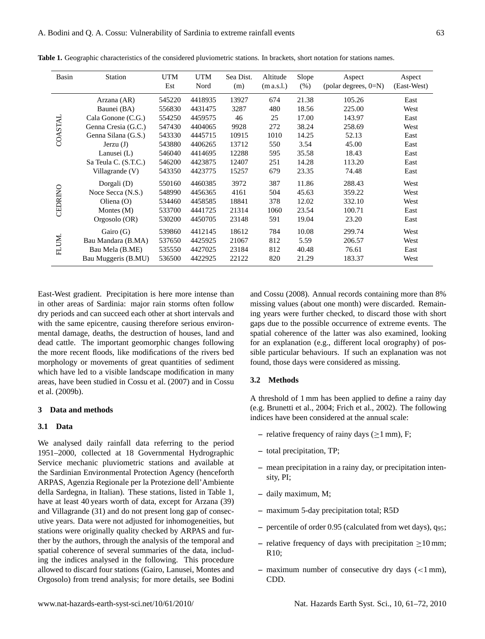| Basin   | <b>Station</b>       | <b>UTM</b><br>Est | <b>UTM</b><br>Nord | Sea Dist.<br>(m) | Altitude<br>(m a.s.l.) | Slope<br>(% ) | Aspect<br>(polar degrees, 0=N) | Aspect<br>(East-West) |
|---------|----------------------|-------------------|--------------------|------------------|------------------------|---------------|--------------------------------|-----------------------|
|         | Arzana (AR)          | 545220            | 4418935            | 13927            | 674                    | 21.38         | 105.26                         | East                  |
|         | Baunei (BA)          | 556830            | 4431475            | 3287             | 480                    | 18.56         | 225.00                         | West                  |
|         | Cala Gonone (C.G.)   | 554250            | 4459575            | 46               | 25                     | 17.00         | 143.97                         | East                  |
| COASTAL | Genna Cresia (G.C.)  | 547430            | 4404065            | 9928             | 272                    | 38.24         | 258.69                         | West                  |
|         | Genna Silana (G.S.)  | 543330            | 4445715            | 10915            | 1010                   | 14.25         | 52.13                          | East                  |
|         | Jerzu(J)             | 543880            | 4406265            | 13712            | 550                    | 3.54          | 45.00                          | East                  |
|         | Lanusei $(L)$        | 546040            | 4414695            | 12288            | 595                    | 35.58         | 18.43                          | East                  |
|         | Sa Teula C. (S.T.C.) | 546200            | 4423875            | 12407            | 251                    | 14.28         | 113.20                         | East                  |
|         | Villagrande (V)      | 543350            | 4423775            | 15257            | 679                    | 23.35         | 74.48                          | East                  |
|         | Dorgali (D)          | 550160            | 4460385            | 3972             | 387                    | 11.86         | 288.43                         | West                  |
|         | Noce Secca (N.S.)    | 548990            | 4456365            | 4161             | 504                    | 45.63         | 359.22                         | West                  |
|         | Oliena $(O)$         | 534460            | 4458585            | 18841            | 378                    | 12.02         | 332.10                         | West                  |
| CEDRINO | Montes $(M)$         | 533700            | 4441725            | 21314            | 1060                   | 23.54         | 100.71                         | East                  |
|         | Orgosolo (OR)        | 530200            | 4450705            | 23148            | 591                    | 19.04         | 23.20                          | East                  |
|         | Gairo (G)            | 539860            | 4412145            | 18612            | 784                    | 10.08         | 299.74                         | West                  |
| FLUM.   | Bau Mandara (B.MA)   | 537650            | 4425925            | 21067            | 812                    | 5.59          | 206.57                         | West                  |
|         | Bau Mela (B.ME)      | 535550            | 4427025            | 23184            | 812                    | 40.48         | 76.61                          | East                  |
|         | Bau Muggeris (B.MU)  | 536500            | 4422925            | 22122            | 820                    | 21.29         | 183.37                         | West                  |

**Table 1.** Geographic characteristics of the considered pluviometric stations. In brackets, short notation for stations names.

East-West gradient. Precipitation is here more intense than in other areas of Sardinia: major rain storms often follow dry periods and can succeed each other at short intervals and with the same epicentre, causing therefore serious environmental damage, deaths, the destruction of houses, land and dead cattle. The important geomorphic changes following the more recent floods, like modifications of the rivers bed morphology or movements of great quantities of sediment which have led to a visible landscape modification in many areas, have been studied in Cossu et al. (2007) and in Cossu et al. (2009b).

# **3 Data and methods**

## **3.1 Data**

We analysed daily rainfall data referring to the period 1951–2000, collected at 18 Governmental Hydrographic Service mechanic pluviometric stations and available at the Sardinian Environmental Protection Agency (henceforth ARPAS, Agenzia Regionale per la Protezione dell'Ambiente della Sardegna, in Italian). These stations, listed in Table 1, have at least 40 years worth of data, except for Arzana (39) and Villagrande (31) and do not present long gap of consecutive years. Data were not adjusted for inhomogeneities, but stations were originally quality checked by ARPAS and further by the authors, through the analysis of the temporal and spatial coherence of several summaries of the data, including the indices analysed in the following. This procedure allowed to discard four stations (Gairo, Lanusei, Montes and Orgosolo) from trend analysis; for more details, see Bodini

and Cossu (2008). Annual records containing more than 8% missing values (about one month) were discarded. Remaining years were further checked, to discard those with short gaps due to the possible occurrence of extreme events. The spatial coherence of the latter was also examined, looking for an explanation (e.g., different local orography) of possible particular behaviours. If such an explanation was not found, those days were considered as missing.

## **3.2 Methods**

A threshold of 1 mm has been applied to define a rainy day (e.g. Brunetti et al., 2004; Frich et al., 2002). The following indices have been considered at the annual scale:

- relative frequency of rainy days ( $\geq$ 1 mm), F;
- **–** total precipitation, TP;
- **–** mean precipitation in a rainy day, or precipitation intensity, PI;
- **–** daily maximum, M;
- **–** maximum 5-day precipitation total; R5D
- **–** percentile of order 0.95 (calculated from wet days), q95;
- **–** relative frequency of days with precipitation ≥10 mm; R10;
- **–** maximum number of consecutive dry days (<1 mm), CDD.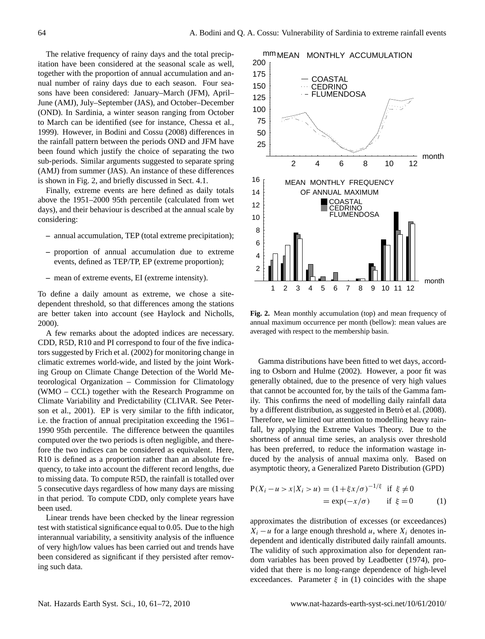The relative frequency of rainy days and the total precipitation have been considered at the seasonal scale as well, together with the proportion of annual accumulation and annual number of rainy days due to each season. Four seasons have been considered: January–March (JFM), April– June (AMJ), July–September (JAS), and October–December (OND). In Sardinia, a winter season ranging from October to March can be identified (see for instance, Chessa et al., 1999). However, in Bodini and Cossu (2008) differences in the rainfall pattern between the periods OND and JFM have been found which justify the choice of separating the two sub-periods. Similar arguments suggested to separate spring (AMJ) from summer (JAS). An instance of these differences is shown in Fig. 2, and briefly discussed in Sect. 4.1.

Finally, extreme events are here defined as daily totals above the 1951–2000 95th percentile (calculated from wet days), and their behaviour is described at the annual scale by considering:

- **–** annual accumulation, TEP (total extreme precipitation);
- **–** proportion of annual accumulation due to extreme events, defined as TEP/TP, EP (extreme proportion);
- **–** mean of extreme events, EI (extreme intensity).

To define a daily amount as extreme, we chose a sitedependent threshold, so that differences among the stations are better taken into account (see Haylock and Nicholls, 2000).

A few remarks about the adopted indices are necessary. CDD, R5D, R10 and PI correspond to four of the five indicators suggested by Frich et al. (2002) for monitoring change in climatic extremes world-wide, and listed by the joint Working Group on Climate Change Detection of the World Meteorological Organization – Commission for Climatology (WMO – CCL) together with the Research Programme on Climate Variability and Predictability (CLIVAR. See Peterson et al., 2001). EP is very similar to the fifth indicator, i.e. the fraction of annual precipitation exceeding the 1961– 1990 95th percentile. The difference between the quantiles computed over the two periods is often negligible, and therefore the two indices can be considered as equivalent. Here, R10 is defined as a proportion rather than an absolute frequency, to take into account the different record lengths, due to missing data. To compute R5D, the rainfall is totalled over 5 consecutive days regardless of how many days are missing in that period. To compute CDD, only complete years have been used.

Linear trends have been checked by the linear regression test with statistical significance equal to 0.05. Due to the high interannual variability, a sensitivity analysis of the influence of very high/low values has been carried out and trends have been considered as significant if they persisted after removing such data.



**Fig. 2.** Mean monthly accumulation (top) and mean frequency of annual maximum occurrence per month (bellow): mean values are averaged with respect to the membership basin.

Gamma distributions have been fitted to wet days, according to Osborn and Hulme (2002). However, a poor fit was generally obtained, due to the presence of very high values that cannot be accounted for, by the tails of the Gamma family. This confirms the need of modelling daily rainfall data by a different distribution, as suggested in Betrò et al. (2008). Therefore, we limited our attention to modelling heavy rainfall, by applying the Extreme Values Theory. Due to the shortness of annual time series, an analysis over threshold has been preferred, to reduce the information wastage induced by the analysis of annual maxima only. Based on asymptotic theory, a Generalized Pareto Distribution (GPD)

$$
P(X_i - u > x | X_i > u) = (1 + \xi x/\sigma)^{-1/\xi} \text{ if } \xi \neq 0
$$
  
=  $\exp(-x/\sigma)$  if  $\xi = 0$  (1)

approximates the distribution of excesses (or exceedances)  $X_i - u$  for a large enough threshold u, where  $X_i$  denotes independent and identically distributed daily rainfall amounts. The validity of such approximation also for dependent random variables has been proved by Leadbetter (1974), provided that there is no long-range dependence of high-level exceedances. Parameter  $\xi$  in (1) coincides with the shape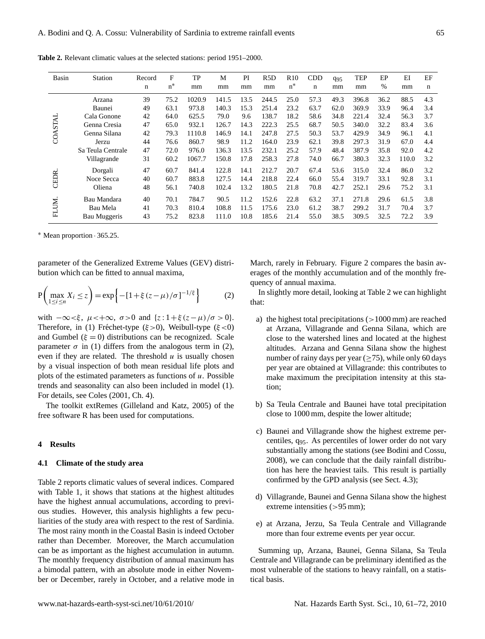| Basin   | <b>Station</b>      | Record<br>n | F<br>$n^*$ | TP<br>mm | M<br>mm | PI<br>mm | R <sub>5</sub> D<br>mm | R <sub>10</sub><br>$n^*$ | <b>CDD</b><br>n | $q_{95}$<br>mm | <b>TEP</b><br>mm | EP<br>$\%$ | EI<br>mm | EF<br>n |
|---------|---------------------|-------------|------------|----------|---------|----------|------------------------|--------------------------|-----------------|----------------|------------------|------------|----------|---------|
|         | Arzana              | 39          | 75.2       | 1020.9   | 141.5   | 13.5     | 244.5                  | 25.0                     | 57.3            | 49.3           | 396.8            | 36.2       | 88.5     | 4.3     |
|         | Baunei              | 49          | 63.1       | 973.8    | 140.3   | 15.3     | 251.4                  | 23.2                     | 63.7            | 62.0           | 369.9            | 33.9       | 96.4     | 3.4     |
|         | Cala Gonone         | 42          | 64.0       | 625.5    | 79.0    | 9.6      | 138.7                  | 18.2                     | 58.6            | 34.8           | 221.4            | 32.4       | 56.3     | 3.7     |
| COASTAL | Genna Cresia        | 47          | 65.0       | 932.1    | 126.7   | 14.3     | 222.3                  | 25.5                     | 68.7            | 50.5           | 340.0            | 32.2       | 83.4     | 3.6     |
|         | Genna Silana        | 42          | 79.3       | 1110.8   | 146.9   | 14.1     | 247.8                  | 27.5                     | 50.3            | 53.7           | 429.9            | 34.9       | 96.1     | 4.1     |
|         | Jerzu               | 44          | 76.6       | 860.7    | 98.9    | 11.2     | 164.0                  | 23.9                     | 62.1            | 39.8           | 297.3            | 31.9       | 67.0     | 4.4     |
|         | Sa Teula Centrale   | 47          | 72.0       | 976.0    | 136.3   | 13.5     | 232.1                  | 25.2                     | 57.9            | 48.4           | 387.9            | 35.8       | 92.0     | 4.2     |
|         | Villagrande         | 31          | 60.2       | 1067.7   | 150.8   | 17.8     | 258.3                  | 27.8                     | 74.0            | 66.7           | 380.3            | 32.3       | 110.0    | 3.2     |
|         | Dorgali             | 47          | 60.7       | 841.4    | 122.8   | 14.1     | 212.7                  | 20.7                     | 67.4            | 53.6           | 315.0            | 32.4       | 86.0     | 3.2     |
| CEDR.   | Noce Secca          | 40          | 60.7       | 883.8    | 127.5   | 14.4     | 218.8                  | 22.4                     | 66.0            | 55.4           | 319.7            | 33.1       | 92.8     | 3.1     |
|         | Oliena              | 48          | 56.1       | 740.8    | 102.4   | 13.2     | 180.5                  | 21.8                     | 70.8            | 42.7           | 252.1            | 29.6       | 75.2     | 3.1     |
|         | Bau Mandara         | 40          | 70.1       | 784.7    | 90.5    | 11.2     | 152.6                  | 22.8                     | 63.2            | 37.1           | 271.8            | 29.6       | 61.5     | 3.8     |
| FLUM.   | Bau Mela            | 41          | 70.3       | 810.4    | 108.8   | 11.5     | 175.6                  | 23.0                     | 61.2            | 38.7           | 299.2            | 31.7       | 70.4     | 3.7     |
|         | <b>Bau Muggeris</b> | 43          | 75.2       | 823.8    | 111.0   | 10.8     | 185.6                  | 21.4                     | 55.0            | 38.5           | 309.5            | 32.5       | 72.2     | 3.9     |

**Table 2.** Relevant climatic values at the selected stations: period 1951–2000.

<sup>∗</sup> Mean proportion · 365.25.

parameter of the Generalized Extreme Values (GEV) distribution which can be fitted to annual maxima,

$$
P\left(\max_{1 \leq i \leq n} X_i \leq z\right) = \exp\left\{-\left[1 + \xi\left(z - \mu\right)/\sigma\right]^{-1/\xi}\right\} \tag{2}
$$

with  $-\infty < \xi$ ,  $\mu < +\infty$ ,  $\sigma > 0$  and  $\{z : 1 + \xi (z - \mu)/\sigma > 0\}$ . Therefore, in (1) Fréchet-type ( $\xi > 0$ ), Weibull-type ( $\xi < 0$ ) and Gumbel ( $\xi = 0$ ) distributions can be recognized. Scale parameter  $\sigma$  in (1) differs from the analogous term in (2), even if they are related. The threshold  $u$  is usually chosen by a visual inspection of both mean residual life plots and plots of the estimated parameters as functions of  $u$ . Possible trends and seasonality can also been included in model (1). For details, see Coles (2001, Ch. 4).

The toolkit extRemes (Gilleland and Katz, 2005) of the free software R has been used for computations.

#### **4 Results**

#### **4.1 Climate of the study area**

Table 2 reports climatic values of several indices. Compared with Table 1, it shows that stations at the highest altitudes have the highest annual accumulations, according to previous studies. However, this analysis highlights a few peculiarities of the study area with respect to the rest of Sardinia. The most rainy month in the Coastal Basin is indeed October rather than December. Moreover, the March accumulation can be as important as the highest accumulation in autumn. The monthly frequency distribution of annual maximum has a bimodal pattern, with an absolute mode in either November or December, rarely in October, and a relative mode in March, rarely in February. Figure 2 compares the basin averages of the monthly accumulation and of the monthly frequency of annual maxima.

In slightly more detail, looking at Table 2 we can highlight that:

- a) the highest total precipitations  $(>1000 \text{ mm})$  are reached at Arzana, Villagrande and Genna Silana, which are close to the watershed lines and located at the highest altitudes. Arzana and Genna Silana show the highest number of rainy days per year  $(>75)$ , while only 60 days per year are obtained at Villagrande: this contributes to make maximum the precipitation intensity at this station;
- b) Sa Teula Centrale and Baunei have total precipitation close to 1000 mm, despite the lower altitude;
- c) Baunei and Villagrande show the highest extreme percentiles, q95. As percentiles of lower order do not vary substantially among the stations (see Bodini and Cossu, 2008), we can conclude that the daily rainfall distribution has here the heaviest tails. This result is partially confirmed by the GPD analysis (see Sect. 4.3);
- d) Villagrande, Baunei and Genna Silana show the highest extreme intensities (>95 mm);
- e) at Arzana, Jerzu, Sa Teula Centrale and Villagrande more than four extreme events per year occur.

Summing up, Arzana, Baunei, Genna Silana, Sa Teula Centrale and Villagrande can be preliminary identified as the most vulnerable of the stations to heavy rainfall, on a statistical basis.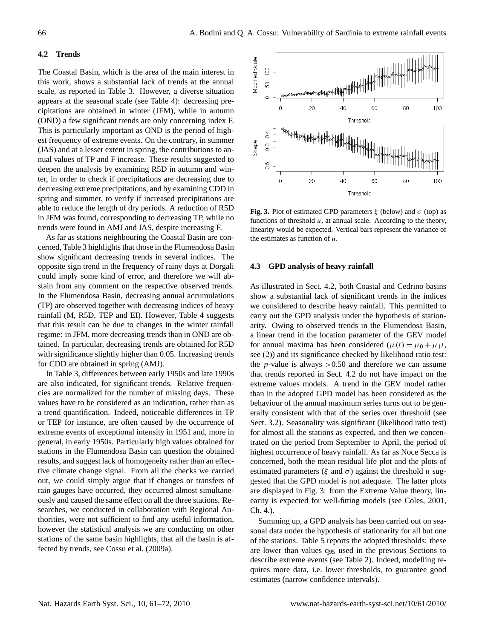## **4.2 Trends**

The Coastal Basin, which is the area of the main interest in this work, shows a substantial lack of trends at the annual scale, as reported in Table 3. However, a diverse situation appears at the seasonal scale (see Table 4): decreasing precipitations are obtained in winter (JFM), while in autumn (OND) a few significant trends are only concerning index F. This is particularly important as OND is the period of highest frequency of extreme events. On the contrary, in summer (JAS) and at a lesser extent in spring, the contributions to annual values of TP and F increase. These results suggested to deepen the analysis by examining R5D in autumn and winter, in order to check if precipitations are decreasing due to decreasing extreme precipitations, and by examining CDD in spring and summer, to verify if increased precipitations are able to reduce the length of dry periods. A reduction of R5D in JFM was found, corresponding to decreasing TP, while no trends were found in AMJ and JAS, despite increasing F.

As far as stations neighbouring the Coastal Basin are concerned, Table 3 highlights that those in the Flumendosa Basin show significant decreasing trends in several indices. The opposite sign trend in the frequency of rainy days at Dorgali could imply some kind of error, and therefore we will abstain from any comment on the respective observed trends. In the Flumendosa Basin, decreasing annual accumulations (TP) are observed together with decreasing indices of heavy rainfall (M, R5D, TEP and EI). However, Table 4 suggests that this result can be due to changes in the winter rainfall regime: in JFM, more decreasing trends than in OND are obtained. In particular, decreasing trends are obtained for R5D with significance slightly higher than 0.05. Increasing trends for CDD are obtained in spring (AMJ).

In Table 3, differences between early 1950s and late 1990s are also indicated, for significant trends. Relative frequencies are normalized for the number of missing days. These values have to be considered as an indication, rather than as a trend quantification. Indeed, noticeable differences in TP or TEP for instance, are often caused by the occurrence of extreme events of exceptional intensity in 1951 and, more in general, in early 1950s. Particularly high values obtained for stations in the Flumendosa Basin can question the obtained results, and suggest lack of homogeneity rather than an effective climate change signal. From all the checks we carried out, we could simply argue that if changes or transfers of rain gauges have occurred, they occurred almost simultaneously and caused the same effect on all the three stations. Researches, we conducted in collaboration with Regional Authorities, were not sufficient to find any useful information, however the statistical analysis we are conducting on other stations of the same basin highlights, that all the basin is affected by trends, see Cossu et al. (2009a).



**Fig. 3.** Plot of estimated GPD parameters  $\xi$  (below) and  $\sigma$  (top) as functions of threshold  $u$ , at annual scale. According to the theory, linearity would be expected. Vertical bars represent the variance of the estimates as function of  $u$ .

### **4.3 GPD analysis of heavy rainfall**

As illustrated in Sect. 4.2, both Coastal and Cedrino basins show a substantial lack of significant trends in the indices we considered to describe heavy rainfall. This permitted to carry out the GPD analysis under the hypothesis of stationarity. Owing to observed trends in the Flumendosa Basin, a linear trend in the location parameter of the GEV model for annual maxima has been considered  $(\mu(t) = \mu_0 + \mu_1 t,$ see (2)) and its significance checked by likelihood ratio test: the *p*-value is always  $>0.50$  and therefore we can assume that trends reported in Sect. 4.2 do not have impact on the extreme values models. A trend in the GEV model rather than in the adopted GPD model has been considered as the behaviour of the annual maximum series turns out to be generally consistent with that of the series over threshold (see Sect. 3.2). Seasonality was significant (likelihood ratio test) for almost all the stations as expected, and then we concentrated on the period from September to April, the period of highest occurrence of heavy rainfall. As far as Noce Secca is concerned, both the mean residual life plot and the plots of estimated parameters ( $\xi$  and  $\sigma$ ) against the threshold u suggested that the GPD model is not adequate. The latter plots are displayed in Fig. 3: from the Extreme Value theory, linearity is expected for well-fitting models (see Coles, 2001, Ch. 4.).

Summing up, a GPD analysis has been carried out on seasonal data under the hypothesis of stationarity for all but one of the stations. Table 5 reports the adopted thresholds: these are lower than values q<sup>95</sup> used in the previous Sections to describe extreme events (see Table 2). Indeed, modelling requires more data, i.e. lower thresholds, to guarantee good estimates (narrow confidence intervals).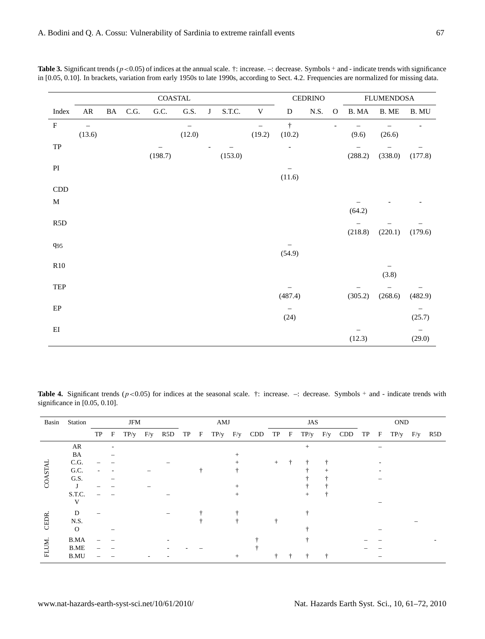|                         |                                    |           |      | ${\tt COASTAL}$ |                             |         |         |                                    |                          | <b>CEDRINO</b> |              |         | <b>FLUMENDOSA</b> |                 |
|-------------------------|------------------------------------|-----------|------|-----------------|-----------------------------|---------|---------|------------------------------------|--------------------------|----------------|--------------|---------|-------------------|-----------------|
| Index                   | ${\sf AR}$                         | $\rm{BA}$ | C.G. | G.C.            | $\mathrm{G.S.}$             | $\bf J$ | S.T.C.  | $\mathbf V$                        | D                        | N.S.           | $\mathbf{O}$ | B. MA   | B. ME             | $\mathbf B.$ MU |
| $\rm F$                 | $\overline{\phantom{m}}$<br>(13.6) |           |      |                 | $\qquad \qquad -$<br>(12.0) |         |         | $\overline{\phantom{0}}$<br>(19.2) | $\dagger$<br>(10.2)      |                |              | (9.6)   | (26.6)            |                 |
| ${\rm TP}$              |                                    |           |      | (198.7)         |                             |         | (153.0) |                                    | $\overline{\phantom{a}}$ |                |              | (288.2) | (338.0)           | (177.8)         |
| $\mathbf{P}\mathbf{I}$  |                                    |           |      |                 |                             |         |         |                                    | (11.6)                   |                |              |         |                   |                 |
| $\mathop{\mathrm{CDD}}$ |                                    |           |      |                 |                             |         |         |                                    |                          |                |              |         |                   |                 |
| $\mathbf M$             |                                    |           |      |                 |                             |         |         |                                    |                          |                |              | (64.2)  |                   |                 |
| R <sub>5</sub> D        |                                    |           |      |                 |                             |         |         |                                    |                          |                |              | (218.8) | (220.1)           | (179.6)         |
| $q_{95}$                |                                    |           |      |                 |                             |         |         |                                    | (54.9)                   |                |              |         |                   |                 |
| R10                     |                                    |           |      |                 |                             |         |         |                                    |                          |                |              |         | (3.8)             |                 |
| TEP                     |                                    |           |      |                 |                             |         |         |                                    | (487.4)                  |                |              | (305.2) | (268.6)           | (482.9)         |
| $\rm EP$                |                                    |           |      |                 |                             |         |         |                                    | (24)                     |                |              |         |                   | (25.7)          |
| $\mathop{\rm EI}$       |                                    |           |      |                 |                             |         |         |                                    |                          |                |              | (12.3)  |                   | (29.0)          |

**Table 3.** Significant trends ( $p < 0.05$ ) of indices at the annual scale.  $\dagger$ : increase.  $-$ : decrease. Symbols + and - indicate trends with significance in [0.05, 0.10]. In brackets, variation from early 1950s to late 1990s, according to Sect. 4.2. Frequencies are normalized for missing data.

**Table 4.** Significant trends  $(p<0.05)$  for indices at the seasonal scale.  $\dagger$ : increase.  $-$ : decrease. Symbols + and - indicate trends with significance in [0.05, 0.10].

| Basin       | Station      |    |             | JFM  |     |     |    |   | AMJ  |        |     | JAS    |              |              |  |     | <b>OND</b> |              |              |  |     |
|-------------|--------------|----|-------------|------|-----|-----|----|---|------|--------|-----|--------|--------------|--------------|--|-----|------------|--------------|--------------|--|-----|
|             |              | TP | $\mathbf F$ | TP/y | F/y | R5D | TP | F | TP/y | F/y    | CDD | TP     | $\mathbf{F}$ | $TP/y$ $F/y$ |  | CDD | TP         | $\mathbf{F}$ | $TP/y$ $F/y$ |  | R5D |
|             | AR           |    |             |      |     |     |    |   |      |        |     |        |              | $^{+}$       |  |     |            |              |              |  |     |
|             | BA           |    |             |      |     |     |    |   |      |        |     |        |              |              |  |     |            |              |              |  |     |
|             | C.G.         |    |             |      |     |     |    |   |      |        |     | $^{+}$ | ÷            |              |  |     |            |              |              |  |     |
| COASTAI     | G.C.         |    |             |      |     |     |    | ÷ |      |        |     |        |              |              |  |     |            |              |              |  |     |
|             | G.S.         |    |             |      |     |     |    |   |      |        |     |        |              |              |  |     |            |              |              |  |     |
|             |              |    |             |      |     |     |    |   |      |        |     |        |              |              |  |     |            |              |              |  |     |
|             | S.T.C.       |    |             |      |     |     |    |   |      |        |     |        |              |              |  |     |            |              |              |  |     |
|             | V            |    |             |      |     |     |    |   |      |        |     |        |              |              |  |     |            |              |              |  |     |
|             | D            |    |             |      |     |     |    |   |      |        |     |        |              |              |  |     |            |              |              |  |     |
| CEDR.       | N.S.         |    |             |      |     |     |    |   |      |        |     |        |              |              |  |     |            |              |              |  |     |
|             | $\mathbf{O}$ |    |             |      |     |     |    |   |      |        |     |        |              |              |  |     |            |              |              |  |     |
| <b>FLUM</b> | <b>B.MA</b>  |    |             |      |     |     |    |   |      |        |     |        |              |              |  |     |            |              |              |  |     |
|             | <b>B.ME</b>  |    |             |      |     |     |    |   |      |        |     |        |              |              |  |     |            |              |              |  |     |
|             | <b>B.MU</b>  |    |             |      |     |     |    |   |      | $^{+}$ |     |        |              |              |  |     |            |              |              |  |     |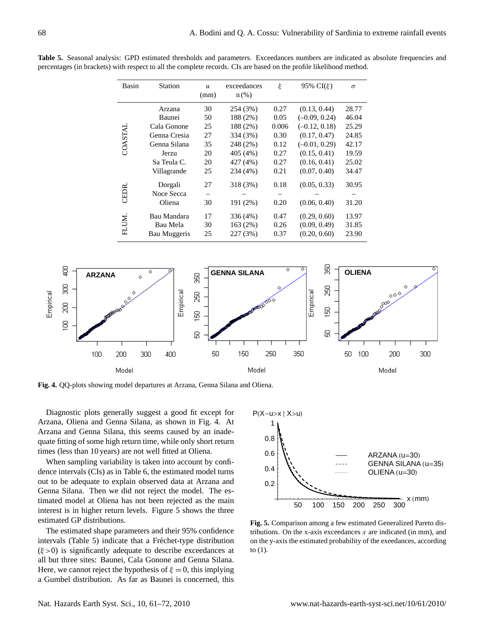| Basin   | Station             | $\boldsymbol{u}$<br>(mm) | exceedances<br>$n$ (%) | ξ     | 95% $CI(\xi)$   | $\sigma$ |
|---------|---------------------|--------------------------|------------------------|-------|-----------------|----------|
|         | Arzana              | 30                       | 254 (3%)               | 0.27  | (0.13, 0.44)    | 28.77    |
|         | Baunei              | 50                       | 188 (2%)               | 0.05  | $(-0.09, 0.24)$ | 46.04    |
|         | Cala Gonone         | 25                       | 188 (2%)               | 0.006 | $(-0.12, 0.18)$ | 25.29    |
| COASTAL | Genna Cresia        | 27                       | 334 (3%)               | 0.30  | (0.17, 0.47)    | 24.85    |
|         | Genna Silana        | 35                       | 248 (2%)               | 0.12  | $(-0.01, 0.29)$ | 42.17    |
|         | Jerzu               | 20                       | 405 (4%)               | 0.27  | (0.15, 0.41)    | 19.59    |
|         | Sa Teula C.         | 20                       | 427 (4%)               | 0.27  | (0.16, 0.41)    | 25.02    |
|         | Villagrande         | 25                       | 234 (4%)               | 0.21  | (0.07, 0.40)    | 34.47    |
|         | Dorgali             | 27                       | 318 (3%)               | 0.18  | (0.05, 0.33)    | 30.95    |
| CEDR    | Noce Secca          |                          |                        |       |                 |          |
|         | Oliena              | 30                       | 191 (2%)               | 0.20  | (0.06, 0.40)    | 31.20    |
|         | Bau Mandara         | 17                       | 336 (4%)               | 0.47  | (0.29, 0.60)    | 13.97    |
| FLUM    | Bau Mela            | 30                       | 163 (2%)               | 0.26  | (0.09, 0.49)    | 31.85    |
|         | <b>Bau Muggeris</b> | 25                       | 227 (3%)               | 0.37  | (0.20, 0.60)    | 23.90    |

**Table 5.** Seasonal analysis: GPD estimated thresholds and parameters. Exceedances numbers are indicated as absolute frequencies and percentages (in brackets) with respect to all the complete records. CIs are based on the profile likelihood method.



**Fig. 4.** QQ-plots showing model departures at Arzana, Genna Silana and Oliena.

Diagnostic plots generally suggest a good fit except for Arzana, Oliena and Genna Silana, as shown in Fig. 4. At Arzana and Genna Silana, this seems caused by an inadequate fitting of some high return time, while only short return times (less than 10 years) are not well fitted at Oliena.

When sampling variability is taken into account by confidence intervals (CIs) as in Table 6, the estimated model turns out to be adequate to explain observed data at Arzana and Genna Silana. Then we did not reject the model. The estimated model at Oliena has not been rejected as the main interest is in higher return levels. Figure 5 shows the three estimated GP distributions.

The estimated shape parameters and their 95% confidence intervals (Table 5) indicate that a Fréchet-type distribution  $(ξ > 0)$  is significantly adequate to describe exceedances at all but three sites: Baunei, Cala Gonone and Genna Silana. Here, we cannot reject the hypothesis of  $\xi = 0$ , this implying a Gumbel distribution. As far as Baunei is concerned, this



**Fig. 5.** Comparison among a few estimated Generalized Pareto distributions. On the x-axis exceedances  $x$  are indicated (in mm), and on the y-axis the estimated probability of the exeedances, according to (1).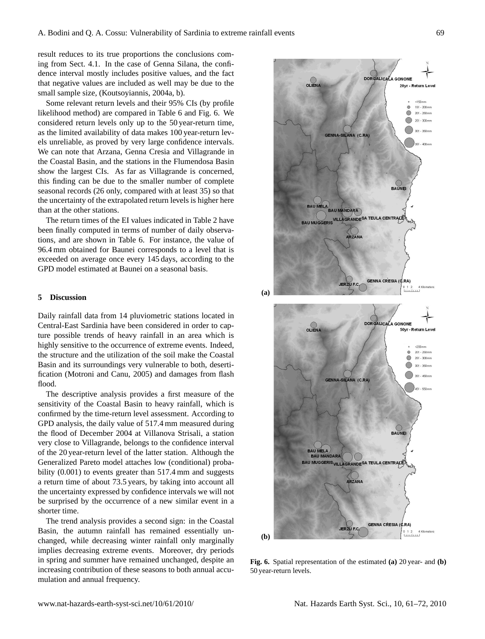result reduces to its true proportions the conclusions coming from Sect. 4.1. In the case of Genna Silana, the confidence interval mostly includes positive values, and the fact that negative values are included as well may be due to the small sample size, (Koutsoyiannis, 2004a, b).

Some relevant return levels and their 95% CIs (by profile likelihood method) are compared in Table 6 and Fig. 6. We considered return levels only up to the 50 year-return time, as the limited availability of data makes 100 year-return levels unreliable, as proved by very large confidence intervals. We can note that Arzana, Genna Cresia and Villagrande in the Coastal Basin, and the stations in the Flumendosa Basin show the largest CIs. As far as Villagrande is concerned, this finding can be due to the smaller number of complete seasonal records (26 only, compared with at least 35) so that the uncertainty of the extrapolated return levels is higher here than at the other stations.

The return times of the EI values indicated in Table 2 have been finally computed in terms of number of daily observations, and are shown in Table 6. For instance, the value of 96.4 mm obtained for Baunei corresponds to a level that is exceeded on average once every 145 days, according to the GPD model estimated at Baunei on a seasonal basis.

#### **5 Discussion**

Daily rainfall data from 14 pluviometric stations located in Central-East Sardinia have been considered in order to capture possible trends of heavy rainfall in an area which is highly sensitive to the occurrence of extreme events. Indeed, the structure and the utilization of the soil make the Coastal Basin and its surroundings very vulnerable to both, desertification (Motroni and Canu, 2005) and damages from flash flood.

The descriptive analysis provides a first measure of the sensitivity of the Coastal Basin to heavy rainfall, which is confirmed by the time-return level assessment. According to GPD analysis, the daily value of 517.4 mm measured during the flood of December 2004 at Villanova Strisali, a station very close to Villagrande, belongs to the confidence interval of the 20 year-return level of the latter station. Although the Generalized Pareto model attaches low (conditional) probability (0.001) to events greater than 517.4 mm and suggests a return time of about 73.5 years, by taking into account all the uncertainty expressed by confidence intervals we will not be surprised by the occurrence of a new similar event in a shorter time.

The trend analysis provides a second sign: in the Coastal Basin, the autumn rainfall has remained essentially unchanged, while decreasing winter rainfall only marginally implies decreasing extreme events. Moreover, dry periods in spring and summer have remained unchanged, despite an increasing contribution of these seasons to both annual accumulation and annual frequency.



**Fig. 6.** Spatial representation of the estimated **(a)** 20 year- and **(b)** 50 year-return levels.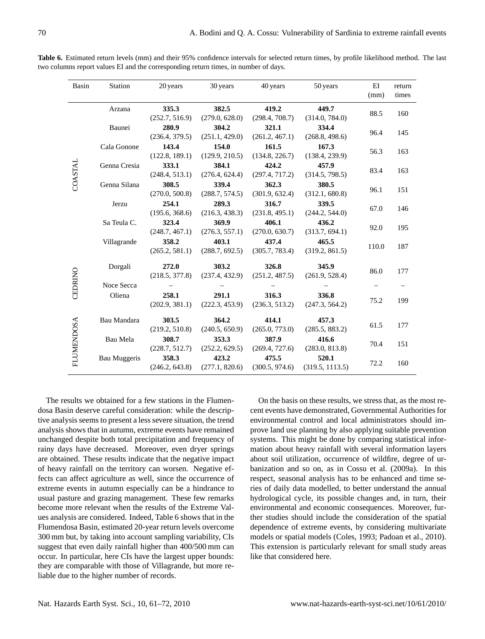| Basin             | <b>Station</b> | 20 years                | 30 years                | 40 years                | 50 years                 | ΕI<br>(mm) | return<br>times |
|-------------------|----------------|-------------------------|-------------------------|-------------------------|--------------------------|------------|-----------------|
|                   | Arzana         | 335.3<br>(252.7, 516.9) | 382.5<br>(279.0, 628.0) | 419.2<br>(298.4, 708.7) | 449.7<br>(314.0, 784.0)  | 88.5       | 160             |
|                   | Baunei         | 280.9<br>(236.4, 379.5) | 304.2<br>(251.1, 429.0) | 321.1<br>(261.2, 467.1) | 334.4<br>(268.8, 498.6)  | 96.4       | 145             |
|                   | Cala Gonone    | 143.4<br>(122.8, 189.1) | 154.0<br>(129.9, 210.5) | 161.5<br>(134.8, 226.7) | 167.3<br>(138.4, 239.9)  | 56.3       | 163             |
| <b>COASTAL</b>    | Genna Cresia   | 333.1<br>(248.4, 513.1) | 384.1<br>(276.4, 624.4) | 424.2<br>(297.4, 717.2) | 457.9<br>(314.5, 798.5)  | 83.4       | 163             |
|                   | Genna Silana   | 308.5<br>(270.0, 500.8) | 339.4<br>(288.7, 574.5) | 362.3<br>(301.9, 632.4) | 380.5<br>(312.1, 680.8)  | 96.1       | 151             |
|                   | Jerzu          | 254.1<br>(195.6, 368.6) | 289.3<br>(216.3, 438.3) | 316.7<br>(231.8, 495.1) | 339.5<br>(244.2, 544.0)  | 67.0       | 146             |
|                   | Sa Teula C.    | 323.4<br>(248.7, 467.1) | 369.9<br>(276.3, 557.1) | 406.1<br>(270.0, 630.7) | 436.2<br>(313.7, 694.1)  | 92.0       | 195             |
|                   | Villagrande    | 358.2<br>(265.2, 581.1) | 403.1<br>(288.7, 692.5) | 437.4<br>(305.7, 783.4) | 465.5<br>(319.2, 861.5)  | 110.0      | 187             |
| CEDRINO           | Dorgali        | 272.0<br>(218.5, 377.8) | 303.2<br>(237.4, 432.9) | 326.8<br>(251.2, 487.5) | 345.9<br>(261.9, 528.4)  | 86.0       | 177             |
|                   | Noce Secca     |                         |                         |                         |                          |            |                 |
|                   | Oliena         | 258.1<br>(202.9, 381.1) | 291.1<br>(222.3, 453.9) | 316.3<br>(236.3, 513.2) | 336.8<br>(247.3, 564.2)  | 75.2       | 199             |
|                   | Bau Mandara    | 303.5<br>(219.2, 510.8) | 364.2<br>(240.5, 650.9) | 414.1<br>(265.0, 773.0) | 457.3<br>(285.5, 883.2)  | 61.5       | 177             |
| <b>FLUMENDOSA</b> | Bau Mela       | 308.7<br>(228.7, 512.7) | 353.3<br>(252.2, 629.5) | 387.9<br>(269.4, 727.6) | 416.6<br>(283.0, 813.8)  | 70.4       | 151             |
|                   | Bau Muggeris   | 358.3<br>(246.2, 643.8) | 423.2<br>(277.1, 820.6) | 475.5<br>(300.5, 974.6) | 520.1<br>(319.5, 1113.5) | 72.2       | 160             |

**Table 6.** Estimated return levels (mm) and their 95% confidence intervals for selected return times, by profile likelihood method. The last two columns report values EI and the corresponding return times, in number of days.

The results we obtained for a few stations in the Flumendosa Basin deserve careful consideration: while the descriptive analysis seems to present a less severe situation, the trend analysis shows that in autumn, extreme events have remained unchanged despite both total precipitation and frequency of rainy days have decreased. Moreover, even dryer springs are obtained. These results indicate that the negative impact of heavy rainfall on the territory can worsen. Negative effects can affect agriculture as well, since the occurrence of extreme events in autumn especially can be a hindrance to usual pasture and grazing management. These few remarks become more relevant when the results of the Extreme Values analysis are considered. Indeed, Table 6 shows that in the Flumendosa Basin, estimated 20-year return levels overcome 300 mm but, by taking into account sampling variability, CIs suggest that even daily rainfall higher than 400/500 mm can occur. In particular, here CIs have the largest upper bounds: they are comparable with those of Villagrande, but more reliable due to the higher number of records.

On the basis on these results, we stress that, as the most recent events have demonstrated, Governmental Authorities for environmental control and local administrators should improve land use planning by also applying suitable prevention systems. This might be done by comparing statistical information about heavy rainfall with several information layers about soil utilization, occurrence of wildfire, degree of urbanization and so on, as in Cossu et al. (2009a). In this respect, seasonal analysis has to be enhanced and time series of daily data modelled, to better understand the annual hydrological cycle, its possible changes and, in turn, their environmental and economic consequences. Moreover, further studies should include the consideration of the spatial dependence of extreme events, by considering multivariate models or spatial models (Coles, 1993; Padoan et al., 2010). This extension is particularly relevant for small study areas like that considered here.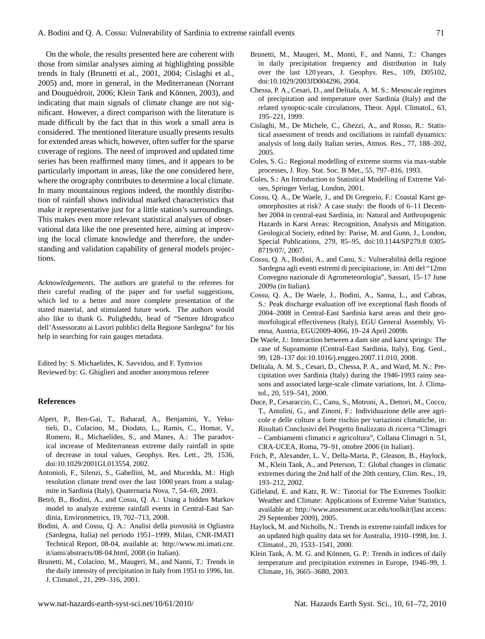On the whole, the results presented here are coherent with those from similar analyses aiming at highlighting possible trends in Italy (Brunetti et al., 2001, 2004; Cislaghi et al., 2005) and, more in general, in the Mediterranean (Norrant and Douguédroit, 2006; Klein Tank and Können, 2003), and indicating that main signals of climate change are not significant. However, a direct comparison with the literature is made difficult by the fact that in this work a small area is considered. The mentioned literature usually presents results for extended areas which, however, often suffer for the sparse coverage of regions. The need of improved and updated time series has been reaffirmed many times, and it appears to be particularly important in areas, like the one considered here, where the orography contributes to determine a local climate. In many mountainous regions indeed, the monthly distribution of rainfall shows individual marked characteristics that make it representative just for a little station's surroundings. This makes even more relevant statistical analyses of observational data like the one presented here, aiming at improving the local climate knowledge and therefore, the understanding and validation capability of general models projections.

*Acknowledgements.* The authors are grateful to the referees for their careful reading of the paper and for useful suggestions, which led to a better and more complete presentation of the stated material, and stimulated future work. The authors would also like to thank G. Puligheddu, head of "Settore Idrografico dell'Assessorato ai Lavori pubblici della Regione Sardegna" for his help in searching for rain gauges metadata.

Edited by: S. Michaelides, K. Savvidou, and F. Tymvios Reviewed by: G. Ghiglieri and another anonymous referee

#### **References**

- Alpert, P., Ben-Gai, T., Baharad, A., Benjamini, Y., Yekutieli, D., Colacino, M., Diodato, L., Ramis, C., Homar, V., Romero, R., Michaelides, S., and Manes, A.: The paradoxical increase of Mediterranean extreme daily rainfall in spite of decrease in total values, Geophys. Res. Lett., 29, 1536, doi:10.1029/2001GL013554, 2002.
- Antonioli, F., Silenzi, S., Gabellini, M,. and Mucedda, M.: High resolution climate trend over the last 1000 years from a stalagmite in Sardinia (Italy), Quaternaria Nova, 7, 54–69, 2003.
- Betrò, B., Bodini, A., and Cossu, Q. A.: Using a hidden Markov model to analyze extreme rainfall events in Central-East Sardinia, Environmetrics, 19, 702–713, 2008.
- Bodini, A. and Cossu, Q. A.: Analisi della piovosita in Ogliastra ` (Sardegna, Italia) nel periodo 1951–1999, Milan, CNR-IMATI Technical Report, 08-04, available at: [http://www.mi.imati.cnr.](http://www.mi.imati.cnr.it/iami/abstracts/08-04.html) [it/iami/abstracts/08-04.html,](http://www.mi.imati.cnr.it/iami/abstracts/08-04.html) 2008 (in Italian).
- Brunetti, M., Colacino, M., Maugeri, M., and Nanni, T.: Trends in the daily intensity of precipitation in Italy from 1951 to 1996, Int. J. Climatol., 21, 299–316, 2001.
- Brunetti, M., Maugeri, M., Monti, F., and Nanni, T.: Changes in daily precipitation frequency and distribution in Italy over the last 120 years, J. Geophys. Res., 109, D05102, doi:10.1029/2003JD004296, 2004.
- Chessa, P. A., Cesari, D., and Delitala, A. M. S.: Mesoscale regimes of precipitation and temperature over Sardinia (Italy) and the related synoptic-scale circulations, Theor. Appl. Climatol., 63, 195–221, 1999.
- Cislaghi, M., De Michele, C., Ghezzi, A., and Rosso, R.: Statistical assessment of trends and oscillations in rainfall dynamics: analysis of long daily Italian series, Atmos. Res., 77, 188–202, 2005.
- Coles, S. G.: Regional modelling of extreme storms via max-stable processes, J. Roy. Stat. Soc. B Met., 55, 797–816, 1993.
- Coles, S.: An Introduction to Statistical Modelling of Extreme Values, Springer Verlag, London, 2001.
- Cossu, Q. A., De Waele, J., and Di Gregorio, F.: Coastal Karst geomorphosites at risk? A case study: the floods of 6–11 December 2004 in central-east Sardinia, in: Natural and Anthropogenic Hazards in Karst Areas: Recognition, Analysis and Mitigation. Geological Society, edited by: Parise, M. and Gunn, J., London, Special Publications, 279, 85–95, doi:10.1144/SP279.8 0305- 8719/07/, 2007.
- Cossu, Q. A., Bodini, A., and Canu, S.: Vulnerabilita della regione ` Sardegna agli eventi estremi di precipitazione, in: Atti del "12mo Convegno nazionale di Agrometeorologia", Sassari, 15–17 June 2009a (in Italian).
- Cossu, Q. A., De Waele, J., Bodini, A., Sanna, L., and Cabras, S.: Peak discharge evaluation off ive exceptional flash floods of 2004–2008 in Central-East Sardinia karst areas and their geomorfological effectiveness (Italy), EGU General Assembly, Vienna, Austria, EGU2009-4066, 19–24 April 2009b.
- De Waele, J.: Interaction between a dam site and karst springs: The case of Supramonte (Central-East Sardinia, Italy), Eng. Geol., 99, 128–137 doi:10.1016/j.enggeo.2007.11.010, 2008.
- Delitala, A. M. S., Cesari, D., Chessa, P. A., and Ward, M. N.: Precipitation over Sardinia (Italy) during the 1946-1993 rainy seasons and associated large-scale climate variations, Int. J. Climatol., 20, 519–541, 2000.
- Duce, P., Cesaraccio, C., Canu, S., Motroni, A., Dettori, M., Cocco, T., Antolini, G., and Zinoni, F.: Individuazione delle aree agricole e delle colture a forte rischio per variazioni climatiche, in: Risultati Conclusivi del Progetto finalizzato di ricerca "Climagri – Cambiamenti climatici e agricoltura", Collana Climagri n. 51, CRA-UCEA, Roma, 79–91, ottobre 2006 (in Italian).
- Frich, P., Alexander, L. V., Della-Marta, P., Gleason, B., Haylock, M., Klein Tank, A., and Peterson, T.: Global changes in climatic extremes during the 2nd half of the 20th century, Clim. Res., 19, 193–212, 2002.
- Gilleland, E. and Katz, R. W.: Tutorial for The Extremes Toolkit: Weather and Climate: Applications of Extreme Value Statistics, available at: [http://www.assessment.ucar.edu/toolkit/\(](http://www.assessment.ucar.edu/toolkit/)last access: 29 September 2009), 2005.
- Haylock, M. and Nicholls, N.: Trends in extreme rainfall indices for an updated high quality data set for Australia, 1910–1998, Int. J. Climatol., 20, 1533–1541, 2000.
- Klein Tank, A. M. G. and Können, G. P.: Trends in indices of daily temperature and precipitation extremes in Europe, 1946–99, J. Climate, 16, 3665–3680, 2003.